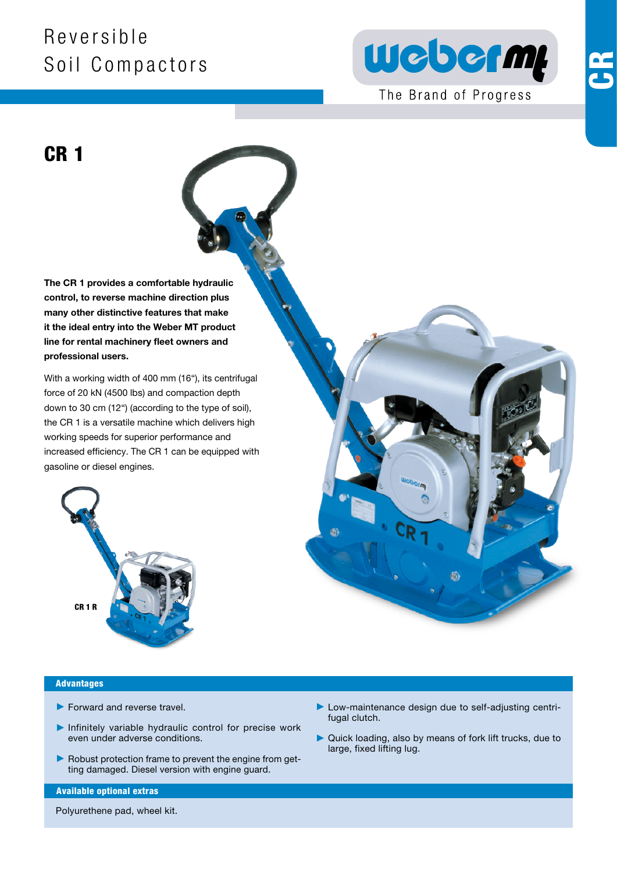## R e v e r s i b l e Soil Compactors



The Brand of Progress

CR 1

The CR 1 provides a comfortable hydraulic control, to reverse machine direction plus many other distinctive features that make it the ideal entry into the Weber MT product line for rental machinery fleet owners and professional users.

With a working width of 400 mm (16"), its centrifugal force of 20 kN (4500 lbs) and compaction depth down to 30 cm (12") (according to the type of soil), the CR 1 is a versatile machine which delivers high working speeds for superior performance and increased efficiency. The CR 1 can be equipped with gasoline or diesel engines.





#### Advantages

- $\blacktriangleright$  Forward and reverse travel.
- $\blacktriangleright$  Infinitely variable hydraulic control for precise work even under adverse conditions.
- $\blacktriangleright$  Robust protection frame to prevent the engine from getting damaged. Diesel version with engine guard.

#### Available optional extras

Polyurethene pad, wheel kit.

- 3 Low-maintenance design due to self-adjusting centrifugal clutch.
- 3 Quick loading, also by means of fork lift trucks, due to large, fixed lifting lug.